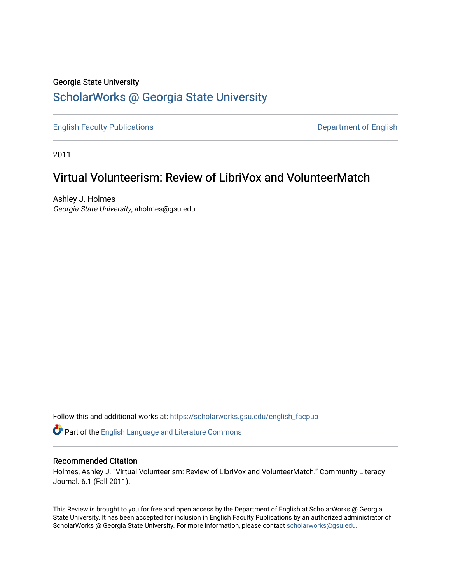## Georgia State University [ScholarWorks @ Georgia State University](https://scholarworks.gsu.edu/)

[English Faculty Publications](https://scholarworks.gsu.edu/english_facpub) **Department of English** 

2011

## Virtual Volunteerism: Review of LibriVox and VolunteerMatch

Ashley J. Holmes Georgia State University, aholmes@gsu.edu

Follow this and additional works at: [https://scholarworks.gsu.edu/english\\_facpub](https://scholarworks.gsu.edu/english_facpub?utm_source=scholarworks.gsu.edu%2Fenglish_facpub%2F24&utm_medium=PDF&utm_campaign=PDFCoverPages)

Part of the [English Language and Literature Commons](http://network.bepress.com/hgg/discipline/455?utm_source=scholarworks.gsu.edu%2Fenglish_facpub%2F24&utm_medium=PDF&utm_campaign=PDFCoverPages)

#### Recommended Citation

Holmes, Ashley J. "Virtual Volunteerism: Review of LibriVox and VolunteerMatch." Community Literacy Journal. 6.1 (Fall 2011).

This Review is brought to you for free and open access by the Department of English at ScholarWorks @ Georgia State University. It has been accepted for inclusion in English Faculty Publications by an authorized administrator of ScholarWorks @ Georgia State University. For more information, please contact [scholarworks@gsu.edu](mailto:scholarworks@gsu.edu).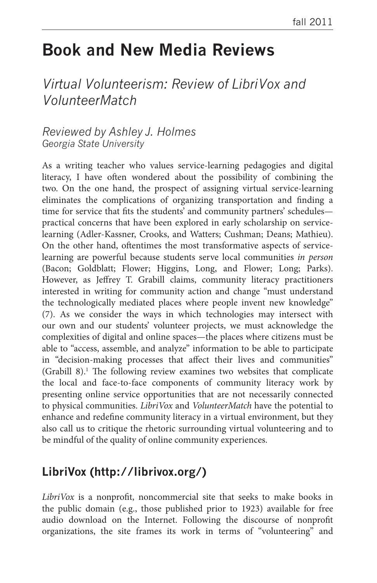# **Book and New Media Reviews**

## *Virtual Volunteerism: Review of LibriVox and VolunteerMatch*

#### *Reviewed by Ashley J. Holmes Georgia State University*

As a writing teacher who values service-learning pedagogies and digital literacy, I have often wondered about the possibility of combining the two. On the one hand, the prospect of assigning virtual service-learning eliminates the complications of organizing transportation and finding a time for service that fits the students' and community partners' schedules practical concerns that have been explored in early scholarship on servicelearning (Adler-Kassner, Crooks, and Watters; Cushman; Deans; Mathieu). On the other hand, oftentimes the most transformative aspects of servicelearning are powerful because students serve local communities *in person* (Bacon; Goldblatt; Flower; Higgins, Long, and Flower; Long; Parks). However, as Jeffrey T. Grabill claims, community literacy practitioners interested in writing for community action and change "must understand the technologically mediated places where people invent new knowledge" (7). As we consider the ways in which technologies may intersect with our own and our students' volunteer projects, we must acknowledge the complexities of digital and online spaces—the places where citizens must be able to "access, assemble, and analyze" information to be able to participate in "decision-making processes that affect their lives and communities" (Grabill 8).<sup>1</sup> The following review examines two websites that complicate the local and face-to-face components of community literacy work by presenting online service opportunities that are not necessarily connected to physical communities. *LibriVox* and *VolunteerMatch* have the potential to enhance and redefine community literacy in a virtual environment, but they also call us to critique the rhetoric surrounding virtual volunteering and to be mindful of the quality of online community experiences.

### **LibriVox (http://librivox.org/)**

*LibriVox* is a nonprofit, noncommercial site that seeks to make books in the public domain (e.g., those published prior to 1923) available for free audio download on the Internet. Following the discourse of nonprofit organizations, the site frames its work in terms of "volunteering" and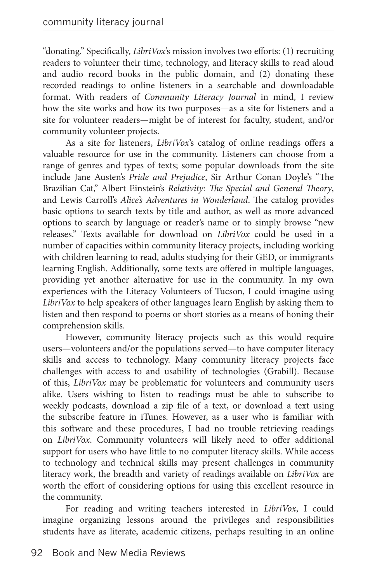"donating." Specifically, *LibriVox*'s mission involves two efforts: (1) recruiting readers to volunteer their time, technology, and literacy skills to read aloud and audio record books in the public domain, and (2) donating these recorded readings to online listeners in a searchable and downloadable format. With readers of *Community Literacy Journal* in mind, I review how the site works and how its two purposes—as a site for listeners and a site for volunteer readers—might be of interest for faculty, student, and/or community volunteer projects.

As a site for listeners, *LibriVox*'s catalog of online readings offers a valuable resource for use in the community. Listeners can choose from a range of genres and types of texts; some popular downloads from the site include Jane Austen's *Pride and Prejudice*, Sir Arthur Conan Doyle's "The Brazilian Cat," Albert Einstein's *Relativity: The Special and General Theory*, and Lewis Carroll's *Alice's Adventures in Wonderland*. The catalog provides basic options to search texts by title and author, as well as more advanced options to search by language or reader's name or to simply browse "new releases." Texts available for download on *LibriVox* could be used in a number of capacities within community literacy projects, including working with children learning to read, adults studying for their GED, or immigrants learning English. Additionally, some texts are offered in multiple languages, providing yet another alternative for use in the community. In my own experiences with the Literacy Volunteers of Tucson, I could imagine using *LibriVox* to help speakers of other languages learn English by asking them to listen and then respond to poems or short stories as a means of honing their comprehension skills.

However, community literacy projects such as this would require users—volunteers and/or the populations served—to have computer literacy skills and access to technology. Many community literacy projects face challenges with access to and usability of technologies (Grabill). Because of this, *LibriVox* may be problematic for volunteers and community users alike. Users wishing to listen to readings must be able to subscribe to weekly podcasts, download a zip file of a text, or download a text using the subscribe feature in iTunes. However, as a user who is familiar with this software and these procedures, I had no trouble retrieving readings on *LibriVox*. Community volunteers will likely need to offer additional support for users who have little to no computer literacy skills. While access to technology and technical skills may present challenges in community literacy work, the breadth and variety of readings available on *LibriVox* are worth the effort of considering options for using this excellent resource in the community.

For reading and writing teachers interested in *LibriVox*, I could imagine organizing lessons around the privileges and responsibilities students have as literate, academic citizens, perhaps resulting in an online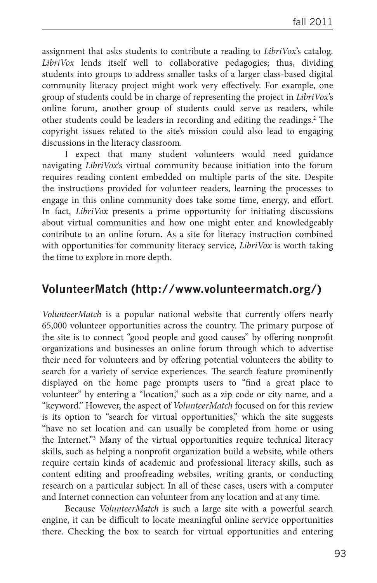assignment that asks students to contribute a reading to *LibriVox*'s catalog. *LibriVox* lends itself well to collaborative pedagogies; thus, dividing students into groups to address smaller tasks of a larger class-based digital community literacy project might work very effectively. For example, one group of students could be in charge of representing the project in *LibriVox*'s online forum, another group of students could serve as readers, while other students could be leaders in recording and editing the readings.<sup>2</sup> The copyright issues related to the site's mission could also lead to engaging discussions in the literacy classroom.

I expect that many student volunteers would need guidance navigating *LibriVox*'s virtual community because initiation into the forum requires reading content embedded on multiple parts of the site. Despite the instructions provided for volunteer readers, learning the processes to engage in this online community does take some time, energy, and effort. In fact, *LibriVox* presents a prime opportunity for initiating discussions about virtual communities and how one might enter and knowledgeably contribute to an online forum. As a site for literacy instruction combined with opportunities for community literacy service, *LibriVox* is worth taking the time to explore in more depth.

#### **VolunteerMatch (http://www.volunteermatch.org/)**

*VolunteerMatch* is a popular national website that currently offers nearly 65,000 volunteer opportunities across the country. The primary purpose of the site is to connect "good people and good causes" by offering nonprofit organizations and businesses an online forum through which to advertise their need for volunteers and by offering potential volunteers the ability to search for a variety of service experiences. The search feature prominently displayed on the home page prompts users to "find a great place to volunteer" by entering a "location," such as a zip code or city name, and a "keyword." However, the aspect of *VolunteerMatch* focused on for this review is its option to "search for virtual opportunities," which the site suggests "have no set location and can usually be completed from home or using the Internet."3 Many of the virtual opportunities require technical literacy skills, such as helping a nonprofit organization build a website, while others require certain kinds of academic and professional literacy skills, such as content editing and proofreading websites, writing grants, or conducting research on a particular subject. In all of these cases, users with a computer and Internet connection can volunteer from any location and at any time.

Because *VolunteerMatch* is such a large site with a powerful search engine, it can be difficult to locate meaningful online service opportunities there. Checking the box to search for virtual opportunities and entering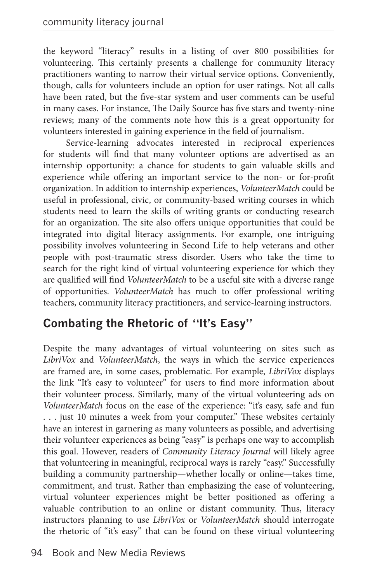the keyword "literacy" results in a listing of over 800 possibilities for volunteering. This certainly presents a challenge for community literacy practitioners wanting to narrow their virtual service options. Conveniently, though, calls for volunteers include an option for user ratings. Not all calls have been rated, but the five-star system and user comments can be useful in many cases. For instance, The Daily Source has five stars and twenty-nine reviews; many of the comments note how this is a great opportunity for volunteers interested in gaining experience in the field of journalism.

Service-learning advocates interested in reciprocal experiences for students will find that many volunteer options are advertised as an internship opportunity: a chance for students to gain valuable skills and experience while offering an important service to the non- or for-profit organization. In addition to internship experiences, *VolunteerMatch* could be useful in professional, civic, or community-based writing courses in which students need to learn the skills of writing grants or conducting research for an organization. The site also offers unique opportunities that could be integrated into digital literacy assignments. For example, one intriguing possibility involves volunteering in Second Life to help veterans and other people with post-traumatic stress disorder. Users who take the time to search for the right kind of virtual volunteering experience for which they are qualified will find *VolunteerMatch* to be a useful site with a diverse range of opportunities. *VolunteerMatch* has much to offer professional writing teachers, community literacy practitioners, and service-learning instructors.

### **Combating the Rhetoric of "It's Easy"**

Despite the many advantages of virtual volunteering on sites such as *LibriVox* and *VolunteerMatch*, the ways in which the service experiences are framed are, in some cases, problematic. For example, *LibriVox* displays the link "It's easy to volunteer" for users to find more information about their volunteer process. Similarly, many of the virtual volunteering ads on *VolunteerMatch* focus on the ease of the experience: "it's easy, safe and fun . . . just 10 minutes a week from your computer." These websites certainly have an interest in garnering as many volunteers as possible, and advertising their volunteer experiences as being "easy" is perhaps one way to accomplish this goal. However, readers of *Community Literacy Journal* will likely agree that volunteering in meaningful, reciprocal ways is rarely "easy." Successfully building a community partnership—whether locally or online—takes time, commitment, and trust. Rather than emphasizing the ease of volunteering, virtual volunteer experiences might be better positioned as offering a valuable contribution to an online or distant community. Thus, literacy instructors planning to use *LibriVox* or *VolunteerMatch* should interrogate the rhetoric of "it's easy" that can be found on these virtual volunteering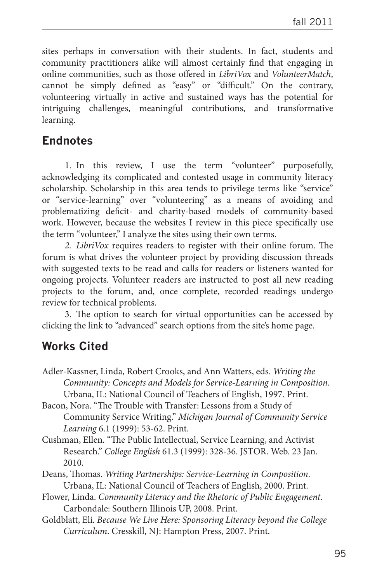sites perhaps in conversation with their students. In fact, students and community practitioners alike will almost certainly find that engaging in online communities, such as those offered in *LibriVox* and *VolunteerMatch*, cannot be simply defined as "easy" or "difficult." On the contrary, volunteering virtually in active and sustained ways has the potential for intriguing challenges, meaningful contributions, and transformative learning.

#### **Endnotes**

1. In this review, I use the term "volunteer" purposefully, acknowledging its complicated and contested usage in community literacy scholarship. Scholarship in this area tends to privilege terms like "service" or "service-learning" over "volunteering" as a means of avoiding and problematizing deficit- and charity-based models of community-based work. However, because the websites I review in this piece specifically use the term "volunteer," I analyze the sites using their own terms.

*2. LibriVox* requires readers to register with their online forum. The forum is what drives the volunteer project by providing discussion threads with suggested texts to be read and calls for readers or listeners wanted for ongoing projects. Volunteer readers are instructed to post all new reading projects to the forum, and, once complete, recorded readings undergo review for technical problems.

3. The option to search for virtual opportunities can be accessed by clicking the link to "advanced" search options from the site's home page.

#### **Works Cited**

- Adler-Kassner, Linda, Robert Crooks, and Ann Watters, eds. *Writing the Community: Concepts and Models for Service-Learning in Composition*. Urbana, IL: National Council of Teachers of English, 1997. Print.
- Bacon, Nora. "The Trouble with Transfer: Lessons from a Study of Community Service Writing." *Michigan Journal of Community Service Learning* 6.1 (1999): 53-62. Print.
- Cushman, Ellen. "The Public Intellectual, Service Learning, and Activist Research." *College English* 61.3 (1999): 328-36. JSTOR. Web. 23 Jan. 2010.
- Deans, Thomas. *Writing Partnerships: Service-Learning in Composition*. Urbana, IL: National Council of Teachers of English, 2000. Print.
- Flower, Linda. *Community Literacy and the Rhetoric of Public Engagement*. Carbondale: Southern Illinois UP, 2008. Print.
- Goldblatt, Eli. *Because We Live Here: Sponsoring Literacy beyond the College Curriculum*. Cresskill, NJ: Hampton Press, 2007. Print.